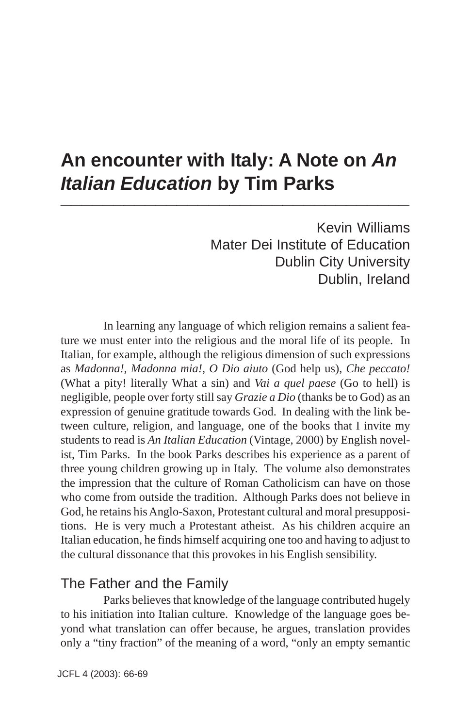# **An encounter with Italy: A Note on** *An* **Italian Education by Tim Parks**

Kevin Williams Mater Dei Institute of Education Dublin City University Dublin, Ireland

In learning any language of which religion remains a salient feature we must enter into the religious and the moral life of its people. In Italian, for example, although the religious dimension of such expressions as *Madonna!, Madonna mia!*, *O Dio aiuto* (God help us), *Che peccato!* (What a pity! literally What a sin) and *Vai a quel paese* (Go to hell) is negligible, people over forty still say *Grazie a Dio* (thanks be to God) as an expression of genuine gratitude towards God. In dealing with the link between culture, religion, and language, one of the books that I invite my students to read is *An Italian Education* (Vintage, 2000) by English novelist, Tim Parks. In the book Parks describes his experience as a parent of three young children growing up in Italy. The volume also demonstrates the impression that the culture of Roman Catholicism can have on those who come from outside the tradition. Although Parks does not believe in God, he retains his Anglo-Saxon, Protestant cultural and moral presuppositions. He is very much a Protestant atheist. As his children acquire an Italian education, he finds himself acquiring one too and having to adjust to the cultural dissonance that this provokes in his English sensibility.

## The Father and the Family

Parks believes that knowledge of the language contributed hugely to his initiation into Italian culture. Knowledge of the language goes beyond what translation can offer because, he argues, translation provides only a "tiny fraction" of the meaning of a word, "only an empty semantic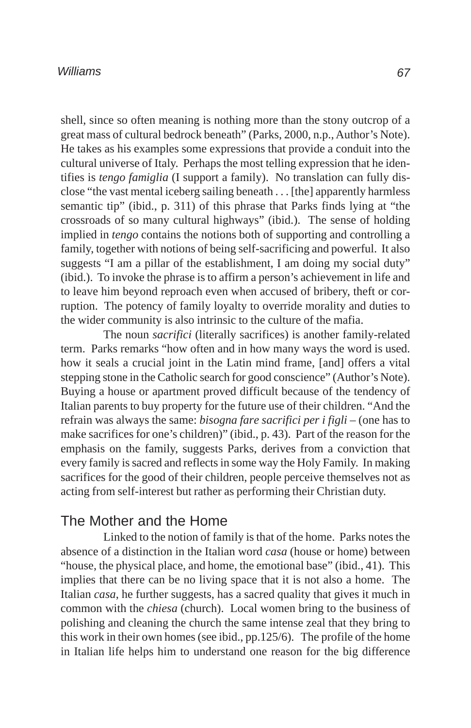#### *Williams*

shell, since so often meaning is nothing more than the stony outcrop of a great mass of cultural bedrock beneath" (Parks, 2000, n.p., Author's Note). He takes as his examples some expressions that provide a conduit into the cultural universe of Italy. Perhaps the most telling expression that he identifies is *tengo famiglia* (I support a family). No translation can fully disclose "the vast mental iceberg sailing beneath . . . [the] apparently harmless semantic tip" (ibid., p. 311) of this phrase that Parks finds lying at "the crossroads of so many cultural highways" (ibid.). The sense of holding implied in *tengo* contains the notions both of supporting and controlling a family, together with notions of being self-sacrificing and powerful. It also suggests "I am a pillar of the establishment, I am doing my social duty" (ibid.). To invoke the phrase is to affirm a person's achievement in life and to leave him beyond reproach even when accused of bribery, theft or corruption. The potency of family loyalty to override morality and duties to the wider community is also intrinsic to the culture of the mafia.

The noun *sacrifici* (literally sacrifices) is another family-related term. Parks remarks "how often and in how many ways the word is used. how it seals a crucial joint in the Latin mind frame, [and] offers a vital stepping stone in the Catholic search for good conscience" (Author's Note). Buying a house or apartment proved difficult because of the tendency of Italian parents to buy property for the future use of their children. "And the refrain was always the same: *bisogna fare sacrifici per i figli* – (one has to make sacrifices for one's children)" (ibid., p. 43). Part of the reason for the emphasis on the family, suggests Parks, derives from a conviction that every family is sacred and reflects in some way the Holy Family. In making sacrifices for the good of their children, people perceive themselves not as acting from self-interest but rather as performing their Christian duty.

#### The Mother and the Home

Linked to the notion of family is that of the home. Parks notes the absence of a distinction in the Italian word *casa* (house or home) between "house, the physical place, and home, the emotional base" (ibid., 41). This implies that there can be no living space that it is not also a home. The Italian *casa*, he further suggests, has a sacred quality that gives it much in common with the *chiesa* (church). Local women bring to the business of polishing and cleaning the church the same intense zeal that they bring to this work in their own homes (see ibid., pp.125/6). The profile of the home in Italian life helps him to understand one reason for the big difference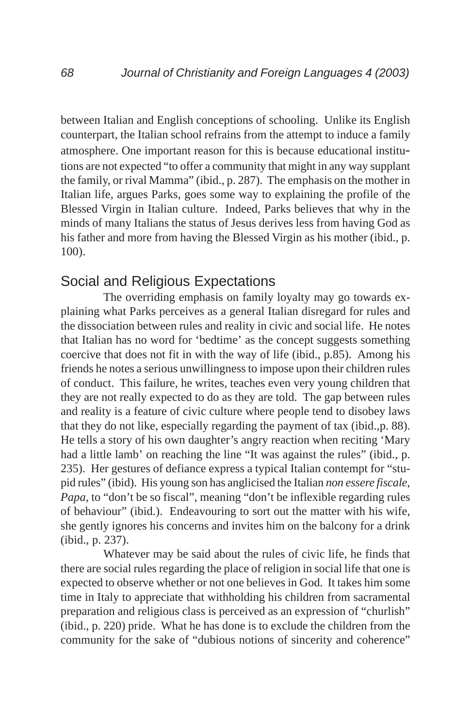between Italian and English conceptions of schooling. Unlike its English counterpart, the Italian school refrains from the attempt to induce a family atmosphere. One important reason for this is because educational institutions are not expected "to offer a community that might in any way supplant the family, or rival Mamma" (ibid., p. 287). The emphasis on the mother in Italian life, argues Parks, goes some way to explaining the profile of the Blessed Virgin in Italian culture. Indeed, Parks believes that why in the minds of many Italians the status of Jesus derives less from having God as his father and more from having the Blessed Virgin as his mother (ibid., p. 100).

### Social and Religious Expectations

The overriding emphasis on family loyalty may go towards explaining what Parks perceives as a general Italian disregard for rules and the dissociation between rules and reality in civic and social life. He notes that Italian has no word for 'bedtime' as the concept suggests something coercive that does not fit in with the way of life (ibid., p.85). Among his friends he notes a serious unwillingness to impose upon their children rules of conduct. This failure, he writes, teaches even very young children that they are not really expected to do as they are told. The gap between rules and reality is a feature of civic culture where people tend to disobey laws that they do not like, especially regarding the payment of tax (ibid.,p. 88). He tells a story of his own daughter's angry reaction when reciting 'Mary had a little lamb' on reaching the line "It was against the rules" (ibid., p. 235). Her gestures of defiance express a typical Italian contempt for "stupid rules" (ibid). His young son has anglicised the Italian *non essere fiscale*, *Papa*, to "don't be so fiscal", meaning "don't be inflexible regarding rules of behaviour" (ibid.). Endeavouring to sort out the matter with his wife, she gently ignores his concerns and invites him on the balcony for a drink (ibid., p. 237).

Whatever may be said about the rules of civic life, he finds that there are social rules regarding the place of religion in social life that one is expected to observe whether or not one believes in God. It takes him some time in Italy to appreciate that withholding his children from sacramental preparation and religious class is perceived as an expression of "churlish" (ibid., p. 220) pride. What he has done is to exclude the children from the community for the sake of "dubious notions of sincerity and coherence"